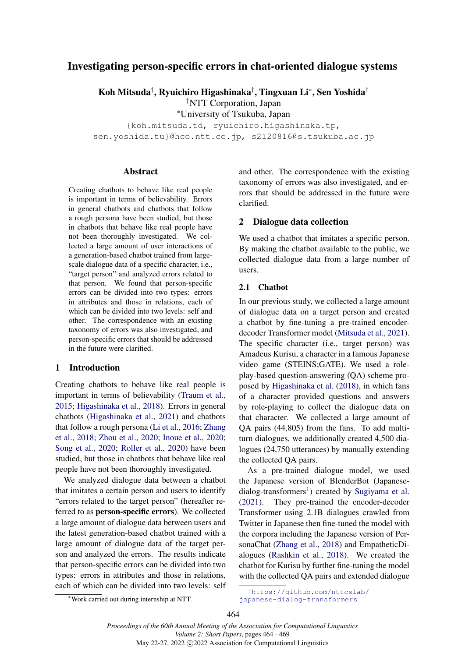# Investigating person-specific errors in chat-oriented dialogue systems

Koh Mitsuda*†* , Ryuichiro Higashinaka*†* , Tingxuan Li*<sup>∗</sup>* , Sen Yoshida*†*

*†*NTT Corporation, Japan

*<sup>∗</sup>*University of Tsukuba, Japan

{koh.mitsuda.td, ryuichiro.higashinaka.tp, sen.yoshida.tu}@hco.ntt.co.jp, s2120816@s.tsukuba.ac.jp

#### **Abstract**

Creating chatbots to behave like real people is important in terms of believability. Errors in general chatbots and chatbots that follow a rough persona have been studied, but those in chatbots that behave like real people have not been thoroughly investigated. We collected a large amount of user interactions of a generation-based chatbot trained from largescale dialogue data of a specific character, i.e., "target person" and analyzed errors related to that person. We found that person-specific errors can be divided into two types: errors in attributes and those in relations, each of which can be divided into two levels: self and other. The correspondence with an existing taxonomy of errors was also investigated, and person-specific errors that should be addressed in the future were clarified.

# 1 Introduction

Creating chatbots to behave like real people is important in terms of believability (Traum et al., 2015; Higashinaka et al., 2018). Errors in general chatbots (Higashinaka et al., 2021) and chatbots that follow a rough persona (Li et al., 2016; Zhang et al., 2018; Zhou et al., 2020; Inoue et al., 2020; Song et al., 2020; Roller et al., 2020) have been studied, but those in chatbots that behave like real people have not been thoroughly investigated.

We analyzed dialogue data between a chatbot that imitates a certain person and users to identify "errors related to the target person" (hereafter referred to as person-specific errors). We collected a large amount of dialogue data between users and the latest generation-based chatbot trained with a large amount of dialogue data of the target person and analyzed the errors. The results indicate that person-specific errors can be divided into two types: errors in attributes and those in relations, each of which can be divided into two levels: self and other. The correspondence with the existing taxonomy of errors was also investigated, and errors that should be addressed in the future were clarified.

# 2 Dialogue data collection

We used a chatbot that imitates a specific person. By making the chatbot available to the public, we collected dialogue data from a large number of users.

### 2.1 Chatbot

In our previous study, we collected a large amount of dialogue data on a target person and created a chatbot by fine-tuning a pre-trained encoderdecoder Transformer model (Mitsuda et al., 2021). The specific character (i.e., target person) was Amadeus Kurisu, a character in a famous Japanese video game (STEINS;GATE). We used a roleplay-based question-answering (QA) scheme proposed by Higashinaka et al. (2018), in which fans of a character provided questions and answers by role-playing to collect the dialogue data on that character. We collected a large amount of QA pairs (44,805) from the fans. To add multiturn dialogues, we additionally created 4,500 dialogues (24,750 utterances) by manually extending the collected QA pairs.

As a pre-trained dialogue model, we used the Japanese version of BlenderBot (Japanesedialog-transformers<sup>1</sup>) created by Sugiyama et al. (2021). They pre-trained the encoder-decoder Transformer using 2.1B dialogues crawled from Twitter in Japanese then fine-tuned the model with the corpora including the Japanese version of PersonaChat (Zhang et al., 2018) and EmpatheticDialogues (Rashkin et al., 2018). We created the chatbot for Kurisu by further fine-tuning the model with the collected QA pairs and extended dialogue

*<sup>∗</sup>*Work carried out during internship at NTT.

<sup>1</sup>https://github.com/nttcslab/ japanese-dialog-transformers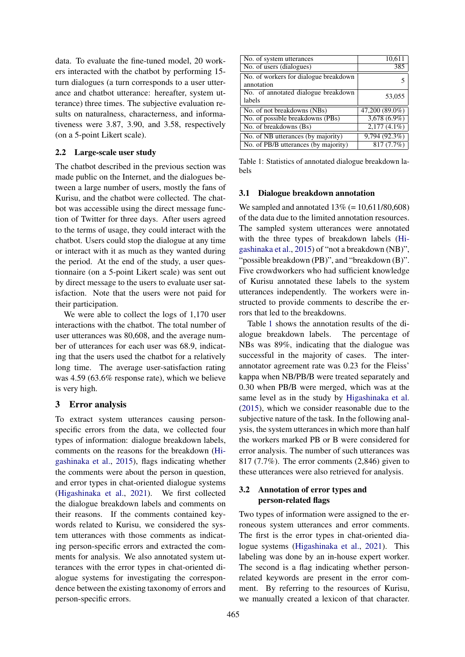data. To evaluate the fine-tuned model, 20 workers interacted with the chatbot by performing 15 turn dialogues (a turn corresponds to a user utterance and chatbot utterance: hereafter, system utterance) three times. The subjective evaluation results on naturalness, characterness, and informativeness were 3.87, 3.90, and 3.58, respectively (on a 5-point Likert scale).

#### 2.2 Large-scale user study

The chatbot described in the previous section was made public on the Internet, and the dialogues between a large number of users, mostly the fans of Kurisu, and the chatbot were collected. The chatbot was accessible using the direct message function of Twitter for three days. After users agreed to the terms of usage, they could interact with the chatbot. Users could stop the dialogue at any time or interact with it as much as they wanted during the period. At the end of the study, a user questionnaire (on a 5-point Likert scale) was sent out by direct message to the users to evaluate user satisfaction. Note that the users were not paid for their participation.

We were able to collect the logs of 1,170 user interactions with the chatbot. The total number of user utterances was 80,608, and the average number of utterances for each user was 68.9, indicating that the users used the chatbot for a relatively long time. The average user-satisfaction rating was 4.59 (63.6% response rate), which we believe is very high.

# 3 Error analysis

To extract system utterances causing personspecific errors from the data, we collected four types of information: dialogue breakdown labels, comments on the reasons for the breakdown (Higashinaka et al., 2015), flags indicating whether the comments were about the person in question, and error types in chat-oriented dialogue systems (Higashinaka et al., 2021). We first collected the dialogue breakdown labels and comments on their reasons. If the comments contained keywords related to Kurisu, we considered the system utterances with those comments as indicating person-specific errors and extracted the comments for analysis. We also annotated system utterances with the error types in chat-oriented dialogue systems for investigating the correspondence between the existing taxonomy of errors and person-specific errors.

| No. of system utterances                            | 10,611           |  |  |  |
|-----------------------------------------------------|------------------|--|--|--|
| No. of users (dialogues)                            | 385              |  |  |  |
| No. of workers for dialogue breakdown<br>annotation |                  |  |  |  |
| No. of annotated dialogue breakdown<br>labels       | 53,055           |  |  |  |
| No. of not breakdowns (NBs)                         | $47,200(89.0\%)$ |  |  |  |
| No. of possible breakdowns (PBs)                    | $3,678(6.9\%)$   |  |  |  |
| No. of breakdowns (Bs)                              | $2,177(4.1\%)$   |  |  |  |
| No. of NB utterances (by majority)                  | 9,794(92.3%)     |  |  |  |
| No. of PB/B utterances (by majority)                | 817(7.7%)        |  |  |  |

Table 1: Statistics of annotated dialogue breakdown labels

#### 3.1 Dialogue breakdown annotation

We sampled and annotated  $13\%$  (= 10,611/80,608) of the data due to the limited annotation resources. The sampled system utterances were annotated with the three types of breakdown labels (Higashinaka et al., 2015) of "not a breakdown (NB)", "possible breakdown (PB)", and "breakdown (B)". Five crowdworkers who had sufficient knowledge of Kurisu annotated these labels to the system utterances independently. The workers were instructed to provide comments to describe the errors that led to the breakdowns.

Table 1 shows the annotation results of the dialogue breakdown labels. The percentage of NBs was 89%, indicating that the dialogue was successful in the majority of cases. The interannotator agreement rate was 0.23 for the Fleiss' kappa when NB/PB/B were treated separately and 0.30 when PB/B were merged, which was at the same level as in the study by Higashinaka et al. (2015), which we consider reasonable due to the subjective nature of the task. In the following analysis, the system utterances in which more than half the workers marked PB or B were considered for error analysis. The number of such utterances was 817 (7.7%). The error comments (2,846) given to these utterances were also retrieved for analysis.

# 3.2 Annotation of error types and person-related flags

Two types of information were assigned to the erroneous system utterances and error comments. The first is the error types in chat-oriented dialogue systems (Higashinaka et al., 2021). This labeling was done by an in-house expert worker. The second is a flag indicating whether personrelated keywords are present in the error comment. By referring to the resources of Kurisu, we manually created a lexicon of that character.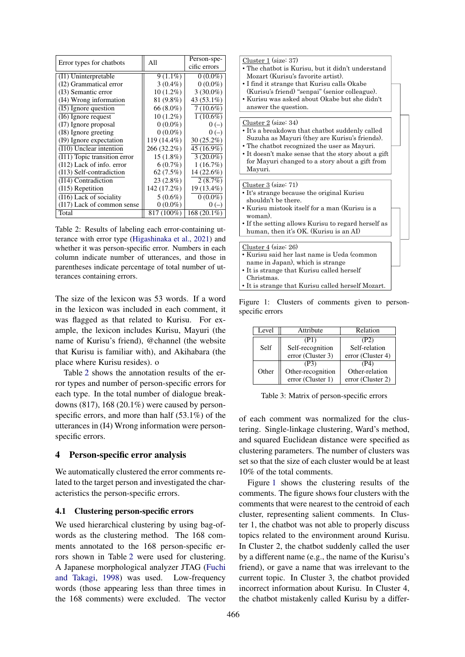|                                      | All         | Person-spe-  |  |  |
|--------------------------------------|-------------|--------------|--|--|
| Error types for chatbots             |             | cific errors |  |  |
| (I1) Uninterpretable                 | $9(1.1\%)$  | $0(0.0\%)$   |  |  |
| (I2) Grammatical error               | $3(0.4\%)$  | $0(0.0\%)$   |  |  |
| (13) Semantic error                  | $10(1.2\%)$ | $3(30.0\%)$  |  |  |
| (I4) Wrong information               | 81 (9.8%)   | 43 (53.1%)   |  |  |
| (15) Ignore question                 | 66 (8.0%)   | $7(10.6\%)$  |  |  |
| (I6) Ignore request                  | $10(1.2\%)$ | $1(10.6\%)$  |  |  |
| (I7) Ignore proposal                 | $0(0.0\%)$  | $0(-)$       |  |  |
| (18) Ignore greeting                 | $0(0.0\%)$  | $0(-)$       |  |  |
| (19) Ignore expectation              | 119 (14.4%) | $30(25.2\%)$ |  |  |
| (I10) Unclear intention              | 266 (32.2%) | 45 (16.9%)   |  |  |
| (I11) Topic transition error         | $15(1.8\%)$ | $3(20.0\%)$  |  |  |
| $(112)$ Lack of info. error          | $6(0.7\%)$  | 1(16.7%)     |  |  |
| (I13) Self-contradiction             | 62 (7.5%)   | 14 (22.6%)   |  |  |
| (I14) Contradiction                  | 23 (2.8%)   | 2(8.7%)      |  |  |
| $(115)$ Repetition                   | 142 (17.2%) | 19 (13.4%)   |  |  |
| $\overline{(116)}$ Lack of sociality | $5(0.6\%)$  | $0(0.0\%)$   |  |  |
| (I17) Lack of common sense           | $0(0.0\%)$  | $0(-)$       |  |  |
| Total                                | 817 (100%)  | 168 (20.1%)  |  |  |

Table 2: Results of labeling each error-containing utterance with error type (Higashinaka et al., 2021) and whether it was person-specific error. Numbers in each column indicate number of utterances, and those in parentheses indicate percentage of total number of utterances containing errors.

The size of the lexicon was 53 words. If a word in the lexicon was included in each comment, it was flagged as that related to Kurisu. For example, the lexicon includes Kurisu, Mayuri (the name of Kurisu's friend), @channel (the website that Kurisu is familiar with), and Akihabara (the place where Kurisu resides). o

Table 2 shows the annotation results of the error types and number of person-specific errors for each type. In the total number of dialogue breakdowns  $(817)$ , 168  $(20.1\%)$  were caused by personspecific errors, and more than half (53.1%) of the utterances in (I4) Wrong information were personspecific errors.

### 4 Person-specific error analysis

We automatically clustered the error comments related to the target person and investigated the characteristics the person-specific errors.

# 4.1 Clustering person-specific errors

We used hierarchical clustering by using bag-ofwords as the clustering method. The 168 comments annotated to the 168 person-specific errors shown in Table 2 were used for clustering. A Japanese morphological analyzer JTAG (Fuchi and Takagi, 1998) was used. Low-frequency words (those appearing less than three times in the 168 comments) were excluded. The vector

Figure 1: Clusters of comments given to personspecific errors

| Level | Attribute         | Relation          |  |  |
|-------|-------------------|-------------------|--|--|
|       | (P1)              | (P2)              |  |  |
| Self  | Self-recognition  | Self-relation     |  |  |
|       | error (Cluster 3) | error (Cluster 4) |  |  |
|       | (P3)              | (P4)              |  |  |
| Other | Other-recognition | Other-relation    |  |  |
|       | error (Cluster 1) | error (Cluster 2) |  |  |

Table 3: Matrix of person-specific errors

of each comment was normalized for the clustering. Single-linkage clustering, Ward's method, and squared Euclidean distance were specified as clustering parameters. The number of clusters was set so that the size of each cluster would be at least 10% of the total comments.

Figure 1 shows the clustering results of the comments. The figure shows four clusters with the comments that were nearest to the centroid of each cluster, representing salient comments. In Cluster 1, the chatbot was not able to properly discuss topics related to the environment around Kurisu. In Cluster 2, the chatbot suddenly called the user by a different name (e.g., the name of the Kurisu's friend), or gave a name that was irrelevant to the current topic. In Cluster 3, the chatbot provided incorrect information about Kurisu. In Cluster 4, the chatbot mistakenly called Kurisu by a differ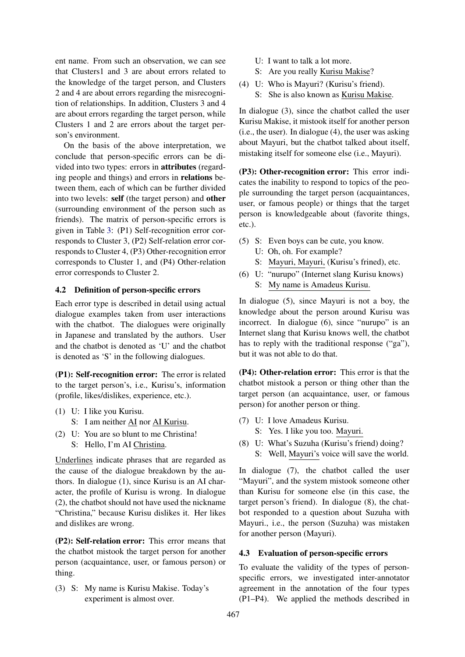ent name. From such an observation, we can see that Clusters1 and 3 are about errors related to the knowledge of the target person, and Clusters 2 and 4 are about errors regarding the misrecognition of relationships. In addition, Clusters 3 and 4 are about errors regarding the target person, while Clusters 1 and 2 are errors about the target person's environment.

On the basis of the above interpretation, we conclude that person-specific errors can be divided into two types: errors in attributes (regarding people and things) and errors in relations between them, each of which can be further divided into two levels: self (the target person) and other (surrounding environment of the person such as friends). The matrix of person-specific errors is given in Table 3: (P1) Self-recognition error corresponds to Cluster 3, (P2) Self-relation error corresponds to Cluster 4, (P3) Other-recognition error corresponds to Cluster 1, and (P4) Other-relation error corresponds to Cluster 2.

### 4.2 Definition of person-specific errors

Each error type is described in detail using actual dialogue examples taken from user interactions with the chatbot. The dialogues were originally in Japanese and translated by the authors. User and the chatbot is denoted as 'U' and the chatbot is denoted as 'S' in the following dialogues.

(P1): Self-recognition error: The error is related to the target person's, i.e., Kurisu's, information (profile, likes/dislikes, experience, etc.).

- (1) U: I like you Kurisu. S: I am neither AI nor AI Kurisu.
- (2) U: You are so blunt to me Christina! S: Hello, I'm AI Christina.

Underlines indicate phrases that are regarded as the cause of the dialogue breakdown by the authors. In dialogue (1), since Kurisu is an AI character, the profile of Kurisu is wrong. In dialogue (2), the chatbot should not have used the nickname "Christina," because Kurisu dislikes it. Her likes and dislikes are wrong.

(P2): Self-relation error: This error means that the chatbot mistook the target person for another person (acquaintance, user, or famous person) or thing.

(3) S: My name is Kurisu Makise. Today's experiment is almost over.

- U: I want to talk a lot more.
- S: Are you really Kurisu Makise?
- (4) U: Who is Mayuri? (Kurisu's friend).
	- S: She is also known as Kurisu Makise.

In dialogue (3), since the chatbot called the user Kurisu Makise, it mistook itself for another person (i.e., the user). In dialogue (4), the user was asking about Mayuri, but the chatbot talked about itself, mistaking itself for someone else (i.e., Mayuri).

(P3): Other-recognition error: This error indicates the inability to respond to topics of the people surrounding the target person (acquaintances, user, or famous people) or things that the target person is knowledgeable about (favorite things, etc.).

- (5) S: Even boys can be cute, you know.
	- U: Oh, oh. For example?
	- S: Mayuri, Mayuri, (Kurisu's frined), etc.
- (6) U: "nurupo" (Internet slang Kurisu knows) S: My name is Amadeus Kurisu.

In dialogue (5), since Mayuri is not a boy, the knowledge about the person around Kurisu was incorrect. In dialogue (6), since "nurupo" is an Internet slang that Kurisu knows well, the chatbot has to reply with the traditional response ("ga"), but it was not able to do that.

(P4): Other-relation error: This error is that the chatbot mistook a person or thing other than the target person (an acquaintance, user, or famous person) for another person or thing.

- (7) U: I love Amadeus Kurisu.
	- S: Yes. I like you too. Mayuri.
- (8) U: What's Suzuha (Kurisu's friend) doing?
	- S: Well, Mayuri's voice will save the world.

In dialogue (7), the chatbot called the user "Mayuri", and the system mistook someone other than Kurisu for someone else (in this case, the target person's friend). In dialogue (8), the chatbot responded to a question about Suzuha with Mayuri., i.e., the person (Suzuha) was mistaken for another person (Mayuri).

# 4.3 Evaluation of person-specific errors

To evaluate the validity of the types of personspecific errors, we investigated inter-annotator agreement in the annotation of the four types (P1–P4). We applied the methods described in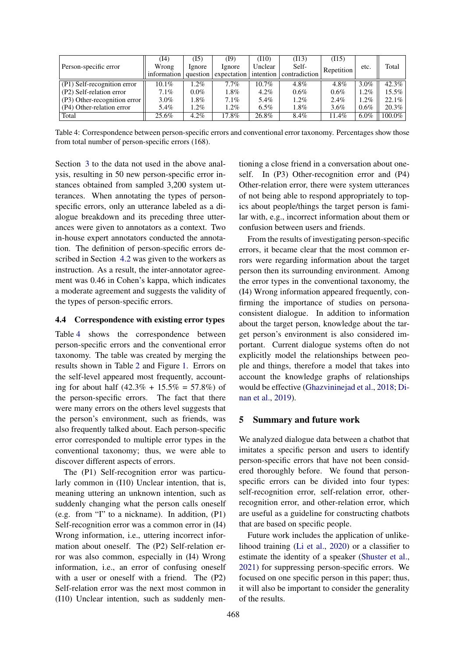| Person-specific error        | (I4)        | (I5)     | (I9)        | (110)     | (113)         | (115)      |         |           |
|------------------------------|-------------|----------|-------------|-----------|---------------|------------|---------|-----------|
|                              | Wrong       | lgnore   | Ignore      | Unclear   | Self-         | Repetition | etc.    | Total     |
|                              | information | question | expectation | intention | contradiction |            |         |           |
| (P1) Self-recognition error  | $10.1\%$    | $1.2\%$  | 7.7%        | $10.7\%$  | 4.8%          | 4.8%       | $3.0\%$ | $42.3\%$  |
| (P2) Self-relation error     | 7.1%        | $0.0\%$  | 1.8%        | $4.2\%$   | $0.6\%$       | 0.6%       | $1.2\%$ | $15.5\%$  |
| (P3) Other-recognition error | $3.0\%$     | $1.8\%$  | $7.1\%$     | 5.4%      | $1.2\%$       | 2.4%       | $1.2\%$ | $22.1\%$  |
| (P4) Other-relation error    | 5.4%        | 1.2%     | $1.2\%$     | $6.5\%$   | 1.8%          | $3.6\%$    | $0.6\%$ | $20.3\%$  |
| Total                        | 25.6%       | $4.2\%$  | 17.8%       | 26.8%     | 8.4%          | 1.4%       | $6.0\%$ | $100.0\%$ |

Table 4: Correspondence between person-specific errors and conventional error taxonomy. Percentages show those from total number of person-specific errors (168).

Section 3 to the data not used in the above analysis, resulting in 50 new person-specific error instances obtained from sampled 3,200 system utterances. When annotating the types of personspecific errors, only an utterance labeled as a dialogue breakdown and its preceding three utterances were given to annotators as a context. Two in-house expert annotators conducted the annotation. The definition of person-specific errors described in Section 4.2 was given to the workers as instruction. As a result, the inter-annotator agreement was 0.46 in Cohen's kappa, which indicates a moderate agreement and suggests the validity of the types of person-specific errors.

# 4.4 Correspondence with existing error types

Table 4 shows the correspondence between person-specific errors and the conventional error taxonomy. The table was created by merging the results shown in Table 2 and Figure 1. Errors on the self-level appeared most frequently, accounting for about half  $(42.3\% + 15.5\% = 57.8\%)$  of the person-specific errors. The fact that there were many errors on the others level suggests that the person's environment, such as friends, was also frequently talked about. Each person-specific error corresponded to multiple error types in the conventional taxonomy; thus, we were able to discover different aspects of errors.

The (P1) Self-recognition error was particularly common in (I10) Unclear intention, that is, meaning uttering an unknown intention, such as suddenly changing what the person calls oneself (e.g. from "I" to a nickname). In addition, (P1) Self-recognition error was a common error in (I4) Wrong information, i.e., uttering incorrect information about oneself. The (P2) Self-relation error was also common, especially in (I4) Wrong information, i.e., an error of confusing oneself with a user or oneself with a friend. The (P2) Self-relation error was the next most common in (I10) Unclear intention, such as suddenly mentioning a close friend in a conversation about oneself. In (P3) Other-recognition error and (P4) Other-relation error, there were system utterances of not being able to respond appropriately to topics about people/things the target person is familar with, e.g., incorrect information about them or confusion between users and friends.

From the results of investigating person-specific errors, it became clear that the most common errors were regarding information about the target person then its surrounding environment. Among the error types in the conventional taxonomy, the (I4) Wrong information appeared frequently, confirming the importance of studies on personaconsistent dialogue. In addition to information about the target person, knowledge about the target person's environment is also considered important. Current dialogue systems often do not explicitly model the relationships between people and things, therefore a model that takes into account the knowledge graphs of relationships would be effective (Ghazvininejad et al., 2018; Dinan et al., 2019).

#### 5 Summary and future work

We analyzed dialogue data between a chatbot that imitates a specific person and users to identify person-specific errors that have not been considered thoroughly before. We found that personspecific errors can be divided into four types: self-recognition error, self-relation error, otherrecognition error, and other-relation error, which are useful as a guideline for constructing chatbots that are based on specific people.

Future work includes the application of unlikelihood training (Li et al., 2020) or a classifier to estimate the identity of a speaker (Shuster et al., 2021) for suppressing person-specific errors. We focused on one specific person in this paper; thus, it will also be important to consider the generality of the results.